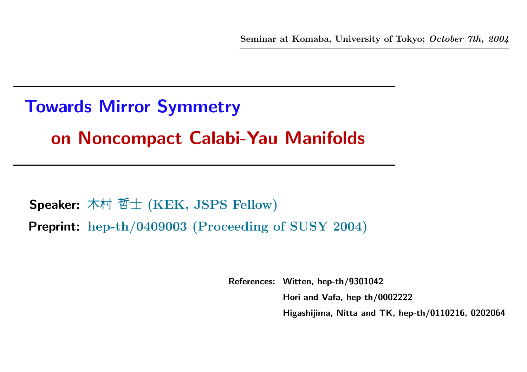# Towards Mirror Symmetry on Noncompact Calabi-Yau Manifolds

**Speaker:** 木村 哲士 (KEK, JSPS Fellow) Preprint: hep-th/0409003 (Proceeding of SUSY 2004)

References: Witten, hep-th/9301042

Hori and Vafa, hep-th/0002222

Higashijima, Nitta and TK, hep-th/0110216, 0202064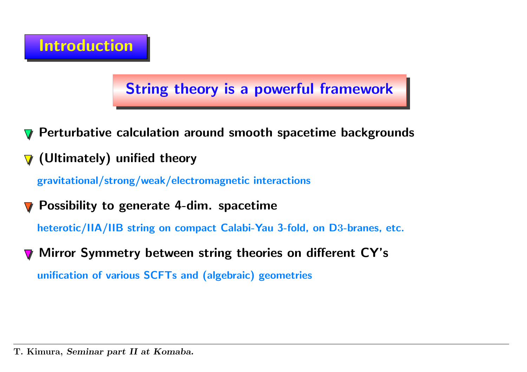## String theory is <sup>a</sup> powerful framework

- Perturbative calculation around smooth spacetime backgrounds
- (Ultimately) unified theory  $\boldsymbol{\nabla}$

gravitational/strong/weak/electromagnetic interactions

Possibility to generate 4-dim. spacetime

heterotic/IIA/IIB string on compact Calabi-Yau 3-fold, on <sup>D</sup>3-branes, etc.

Mirror Symmetry between string theories on different CY's unification of various SCFTs and (algebraic) geometries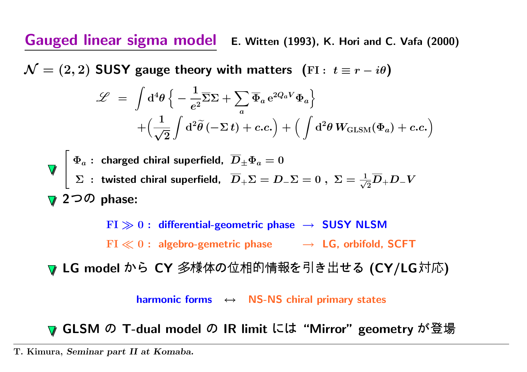Gauged linear sigma model E. Witten (1993), K. Hori and C. Vafa (2000)

 $\mathcal{N} = (2, 2)$  SUSY gauge theory with matters (FI:  $t \equiv r - i\theta$ )

$$
\mathcal{L} = \int d^4 \theta \left\{ -\frac{1}{e^2} \overline{\Sigma} \Sigma + \sum_a \overline{\Phi}_a e^{2Q_a V} \Phi_a \right\} + \left( \frac{1}{\sqrt{2}} \int d^2 \tilde{\theta} \left( -\Sigma t \right) + c.c. \right) + \left( \int d^2 \theta W_{\text{GLSM}}(\Phi_a) + c.c. \right)
$$

$$
\nabla \begin{bmatrix}\n\Phi_a: \text{ charged chiral superfield, } \overline{D}_{\pm} \Phi_a = 0 \\
\Sigma: \text{ twisted chiral superfield, } \overline{D}_{+} \Sigma = D_{-} \Sigma = 0 \,, \ \Sigma = \frac{1}{\sqrt{2}} \overline{D}_{+} D_{-} V \\
\nabla 2 \Im \mathcal{D} \text{ phase:}
$$

 ${\rm FI}\gg 0:$  differential-geometric phase  $\;\rightarrow\;$  SUSY NLSM  $\mathrm{FI} \ll 0$  : algebro-gemetric phase  $\quad \rightarrow \; \mathsf{LG}$ , orbifold, SCFT

LG model から CY 多様体の位相的情報を引き出せる (CY/LG対応)

harmonic forms <sup>↔</sup> NS-NS chiral primary states

GLSM の T-dual model の IR limit には "Mirror" geometry が登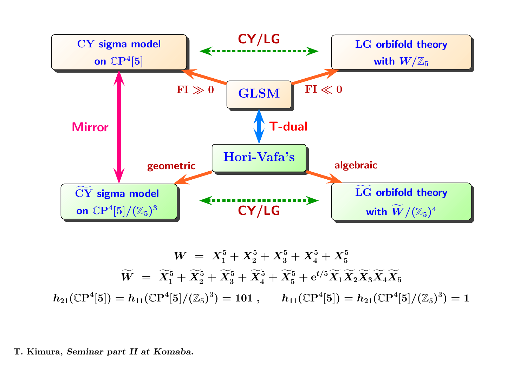

$$
W \;=\; X_1^5 + X_2^5 + X_3^5 + X_4^5 + X_5^5 \newline \hspace*{1.5em}\widetilde{W} \;=\; \widetilde{X}_1^5 + \widetilde{X}_2^5 + \widetilde{X}_3^5 + \widetilde{X}_4^5 + \widetilde{X}_5^5 + \mathrm{e}^{t/5} \widetilde{X}_1 \widetilde{X}_2 \widetilde{X}_3 \widetilde{X}_4 \widetilde{X}_5 \newline h_{21}(\mathbb{C} \mathrm{P}^4[5]) = h_{11}(\mathbb{C} \mathrm{P}^4[5]/(\mathbb{Z}_5)^3) = 101 \; , \qquad h_{11}(\mathbb{C} \mathrm{P}^4[5]) = h_{21}(\mathbb{C} \mathrm{P}^4[5]/(\mathbb{Z}_5)^3) = 1
$$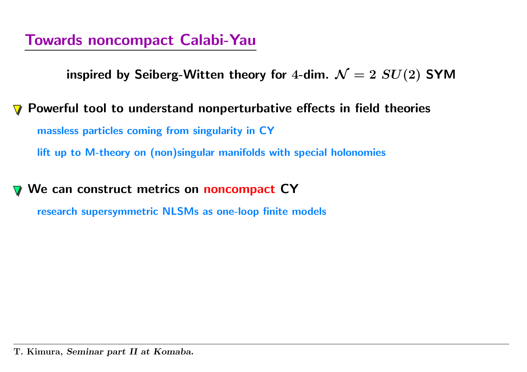inspired by Seiberg-Witten theory for 4-dim.  $\mathcal{N}=2$   $SU(2)$  SYM

Powerful tool to understand nonperturbative effects in field theories massless particles coming from singularity in CY lift up to M-theory on (non)singular manifolds with special holonomies

We can construct metrics on noncompact CY

research supersymmetric NLSMs as one-loop finite models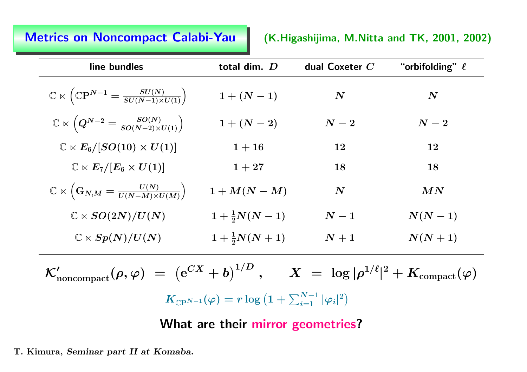### Metrics on

(K.Higashijima, M.Nitta and TK, 2001, 2002)

| line bundles                                                                                         | total dim. D              | dual Coxeter $C$   | "orbifolding" $\ell$ |  |
|------------------------------------------------------------------------------------------------------|---------------------------|--------------------|----------------------|--|
| $\mathbb{C} \ltimes \left( \mathbb{C} \mathrm{P}^{N-1} = \frac{SU(N)}{SU(N-1) \times U(1)} \right).$ | $1 + (N - 1)$             | $\bm{N}$           | $\boldsymbol{N}$     |  |
| $\mathbb{C} \ltimes \left( Q^{N-2} = \frac{SO(N)}{SO(N-2) \times U(1)} \right).$                     | $1 + (N - 2)$             | $\boldsymbol{N-2}$ | $\boldsymbol{N-2}$   |  |
| $\mathbb{C} \ltimes E_6/[SO(10) \times U(1)]$                                                        | $1 + 16$                  | 12                 | 12                   |  |
| $\mathbb{C} \ltimes E_7/[E_6 \times U(1)]$                                                           | $1 + 27$                  | 18                 | 18                   |  |
| $\mathbb{C} \ltimes \left( \mathbf{G}_{N,M} = \frac{U(N)}{U(N-M) \times U(M)} \right).$              | $1+M(N-M)$                | $\boldsymbol{N}$   | MN                   |  |
| $\mathbb{C} \ltimes SO(2N)/U(N)$                                                                     | $1 + \frac{1}{2}N(N-1)$   | $\boldsymbol{N-1}$ | $N(N-1)$             |  |
| $\mathbb{C} \ltimes Sp(N)/U(N)$                                                                      | $1 + \frac{1}{2}N(N + 1)$ | $\,N+1$            | $N(N+1)$             |  |

 $\mathcal{K}'_{\text{noncompact}}(\rho,\varphi) \;=\; \left(\mathrm{e}^{CX} + b\right)^{1/D}\,,\quad \ \ X \;=\; \log|\rho^{1/\ell}|^2 + K_{\text{compact}}(\varphi)$  $K_{\mathbb{C}P^{N-1}}(\varphi) = r \log \left(1 + \sum_{i=1}^{N-1} |\varphi_i|^2\right)$ 

What are their mirror geometries?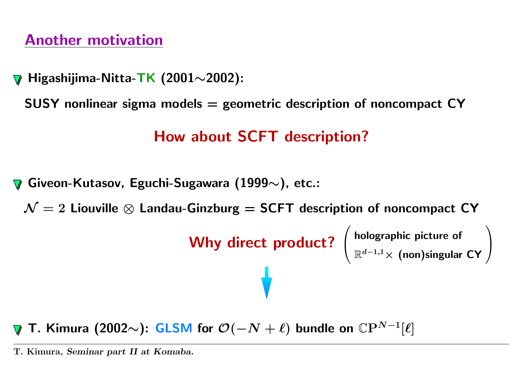## Another motivation

Higashijima-Nitta-TK (2001∼2002):

 ${\sf SUSY}$  nonlinear sigma models  $=$  geometric description of noncompact  ${\sf CY}$ 

## How about SCFT description?

Giveon-Kutasov, Eguchi-Sugawara (1999 $\sim$ ), etc.:

 $\mathcal{N}=2$  Liouville  $\otimes$  Landau-Ginzburg = SCFT description of noncompact CY

Why direct product?  $\begin{pmatrix} \text{holographic picture of} \\ \mathbb{R}^{d-1,1}\times \text{(non)singular CY} \end{pmatrix}$ 

T. Kimura (2002 $\sim$ ): GLSM for  $\mathcal{O}(-N+\ell)$  bundle on  $\mathbb{C}\mathrm{P}^{N-1}[\ell]$ 

T. Kimura, Seminar part II at Komaba.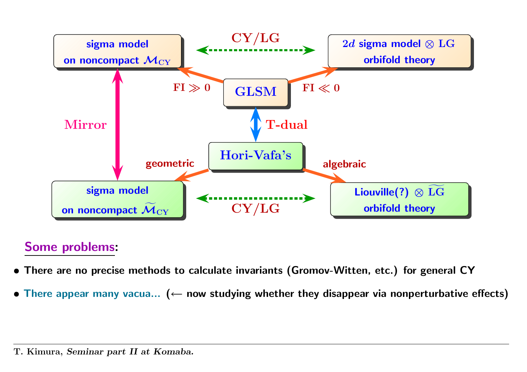

### Some problems:

- There are no precise methods to calculate invariants (Gromov-Witten, etc.) for genera<sup>l</sup> CY
- There appear many vacua... ( $\leftarrow$  now studying whether they disappear via nonperturbative effects)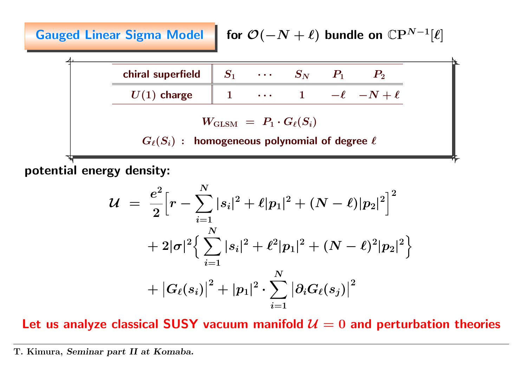Gauged Linear Sigma Model for  $\mathcal{O}(-N + \ell)$  bundle on  $\mathbb{C}P^{N-1}[\ell]$ 

| chiral superfield                                         | $S_1$ | ... | $S_N$ | $P_1$   | $P_2$       |
|-----------------------------------------------------------|-------|-----|-------|---------|-------------|
| $U(1)$ charge                                             | 1     | ... | 1     | $-\ell$ | $-N + \ell$ |
| $W_{\text{GLSM}} = P_1 \cdot G_{\ell}(S_i)$               |       |     |       |         |             |
| $G_{\ell}(S_i)$ : homogeneous polynomial of degree $\ell$ |       |     |       |         |             |

potential energy density:

$$
\begin{array}{lcl} \displaystyle {\cal U} & = & \displaystyle \frac{e^2}{2} \Big[ r - \sum\limits_{i = 1}^N |s_i|^2 + \ell |p_1|^2 + (N - \ell) |p_2|^2 \Big]^2 \\[0.4cm] & + & \displaystyle 2 |\sigma|^2 \Big\{ \sum\limits_{i = 1}^N |s_i|^2 + \ell^2 |p_1|^2 + (N - \ell)^2 |p_2|^2 \Big\} \\[0.4cm] & + \big| G_\ell(s_i) \big|^2 + |p_1|^2 \cdot \sum\limits_{i = 1}^N \big| \partial_i G_\ell(s_j) \big|^2 \end{array}
$$

Let us analyze classical SUSY vacuum manifold  $\mathcal{U}=0$  and perturbation theories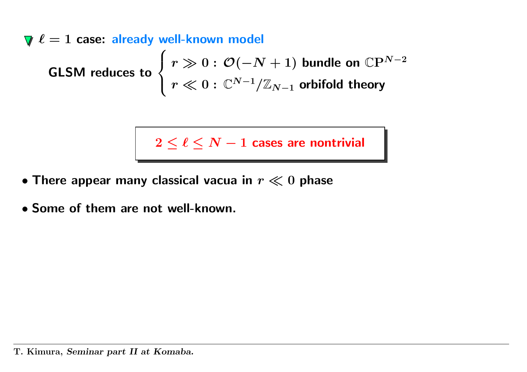$\ell = 1$  case: already well-known model GLSM reduces to  $\left\{ \begin{aligned} r\gg 0 &: \mathcal{O}(-N+1) \,\,\textsf{bundle on}\,\,\mathbb{C}\mathrm{P}^{N-2} \ r\ll 0 &: \mathbb{C}^{N-1}/\mathbb{Z}_{N-1} \,\,\text{orbifold theory} \end{aligned} \right.$ 

 $2 \leq \ell \leq N-1$  cases are nontrivial

- $\bullet$  There appear many classical vacua in  $r \ll 0$  phase
- Some of them are not well-known.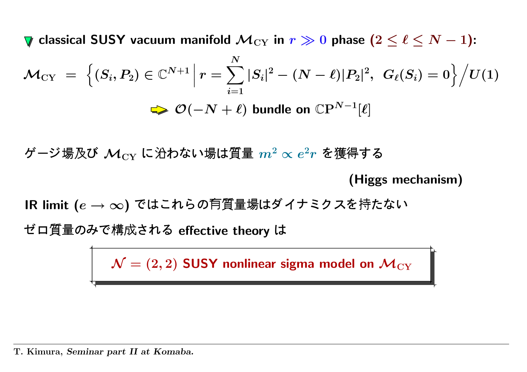classical SUSY vacuum manifold  $\mathcal{M}_{\rm CY}$  in  $r \gg 0$  phase  $(2 \leq \ell \leq N-1)$ :

$$
\mathcal{M}_{CY} = \left\{ (S_i, P_2) \in \mathbb{C}^{N+1} \middle| r = \sum_{i=1}^N |S_i|^2 - (N - \ell)|P_2|^2, \ G_{\ell}(S_i) = 0 \right\} / U(1)
$$
  
\n
$$
\Rightarrow \mathcal{O}(-N + \ell) \text{ bundle on } \mathbb{C}P^{N-1}[\ell]
$$

ージ場及び  $\mathcal{M}_{\mathrm{CY}}$  に沿わない場は質量  $m^2 \propto e^2 r$  を獲得する

(Higgs mechanism)

IR limit  $(e \to \infty)$  ではこれらの有質量場はダイナミクスを持たな

ロ質量のみで構成される effective theory

 $\mathcal{N}=(2,2)$  SUSY nonlinear sigma model on  $\mathcal{M}_{\mathrm{CY}}$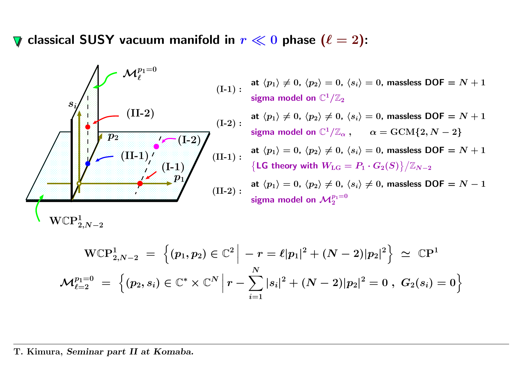$\nabla$  classical SUSY vacuum manifold in  $r \ll 0$  phase  $(\ell = 2)$ :



at  $\langle p_1 \rangle \neq 0, \, \langle p_2 \rangle = 0, \, \langle s_i \rangle = 0,$  massless  $\mathsf{DOF} = N + 1$ sigma model on  $\mathbb{C}^1/\mathbb{Z}_2$ 

at  $\langle p_1\rangle\neq 0,$   $\langle p_2\rangle\neq 0,$   $\langle s_i\rangle= 0$ , massless  $\mathsf{DOF} = N+1$ sigma model on  $\mathbb{C}^1/\mathbb{Z}_\alpha$ ,  $\alpha = \text{GCM}\{2, N-2\}$ 

at  $\langle p_1 \rangle = 0, \, \langle p_2 \rangle \neq 0, \, \langle s_i \rangle = 0,$  massless  $\mathsf{DOF} = N + 1$  $\big\{\mathsf{LG} \text{ theory with } W_{\text{LG}} = P_1 \cdot G_2(S)\big\}/\mathbb{Z}_{N-2}$ 

at  $\langle p_1\rangle = 0$ ,  $\langle p_2\rangle \neq 0$ ,  $\langle s_i\rangle \neq 0$ , massless  $\mathsf{DOF} = N - 1$ sigma model on  $\mathcal{M}_2^{p_1=0}$ 

$$
\text{WCP}^{1}_{2,N-2} \ = \ \Big\{ (p_1,p_2) \in \mathbb{C}^2 \ \Big| \ -r = \ell |p_1|^2 + (N-2) |p_2|^2 \Big\} \ \simeq \ \mathbb{C} \text{P}^1 \, \\ \mathcal{M}_{\ell=2}^{p_1=0} \ = \ \Big\{ (p_2,s_i) \in \mathbb{C}^* \times \mathbb{C}^N \ \Big| \ r - \sum_{i=1}^N |s_i|^2 + (N-2) |p_2|^2 = 0 \ , \ G_2(s_i) = 0 \Big\}
$$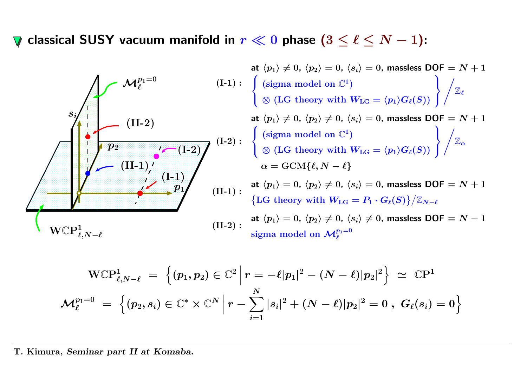classical SUSY vacuum manifold in  $r \ll 0$  phase  $(3 \leq \ell \leq N-1)$ :



$$
\text{WCP}^1_{\ell,N-\ell} \ = \ \Big\{ (p_1,p_2) \in \mathbb{C}^2 \ \Big| \ r = -\ell |p_1|^2 - (N-\ell) |p_2|^2 \Big\} \ \simeq \ \mathbb{C}\text{P}^1 \, \\ \mathcal{M}_\ell^{p_1=0} \ = \ \Big\{ (p_2,s_i) \in \mathbb{C}^* \times \mathbb{C}^N \ \Big| \ r - \sum_{i=1}^N |s_i|^2 + (N-\ell) |p_2|^2 = 0 \ , \ G_\ell(s_i) = 0 \Big\}
$$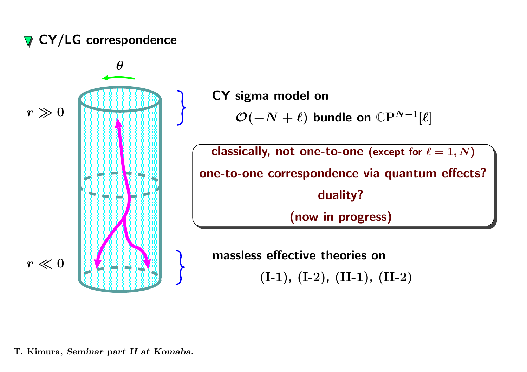## $\nabla$  CY/LG correspondence

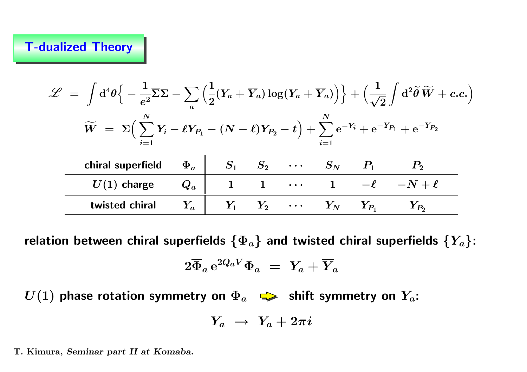### T-dualized Theory

| $\mathscr{L} \;=\; \int \mathrm{d}^4 \theta \Big\{ -\frac{1}{e^2} \overline{\Sigma} \Sigma - \sum \Big(\frac{1}{2}(Y_a + \overline{Y}_a) \log (Y_a + \overline{Y}_a) \Big) \Big\} + \Big(\frac{1}{\sqrt{2}}\int \mathrm{d}^2 \widetilde{\theta} \, \widetilde{W} + c.c.\Big)$ |                      |  |  |                               |                                      |  |                   |  |
|-------------------------------------------------------------------------------------------------------------------------------------------------------------------------------------------------------------------------------------------------------------------------------|----------------------|--|--|-------------------------------|--------------------------------------|--|-------------------|--|
| $\widetilde{W} = \Sigma \Big( \sum Y_i - \ell Y_{P_1} - (N - \ell)Y_{P_2} - t \Big) + \sum e^{-Y_i} + e^{-Y_{P_1}} + e^{-Y_{P_2}}$                                                                                                                                            |                      |  |  |                               |                                      |  |                   |  |
| chiral superfield                                                                                                                                                                                                                                                             | $\Phi_a\; \parallel$ |  |  |                               | $S_1$ $S_2$ $\cdots$ $S_N$ $P_1$     |  |                   |  |
| $U(1)$ charge                                                                                                                                                                                                                                                                 | $Q_a$                |  |  | $\bullet$ $\bullet$ $\bullet$ |                                      |  | $-\ell$ $-N+\ell$ |  |
| twisted chiral                                                                                                                                                                                                                                                                | $Y_a$                |  |  |                               | $Y_1$ $Y_2$ $\cdots$ $Y_N$ $Y_{P_1}$ |  | $Y_{P_2}$         |  |

relation between chiral superfields  $\{\Phi_a\}$  and twisted chiral superfields  $\{Y_a\}$ :

$$
2\overline{\Phi}_a\,{\rm e}^{2Q_aV}\Phi_a\ =\ Y_a+\overline{Y}_a
$$

 $U(1)$  phase rotation symmetry on  $\Phi_a$   $\implies$  shift symmetry on  $Y_a$ :

$$
Y_a\;\rightarrow\;Y_a+2\pi i
$$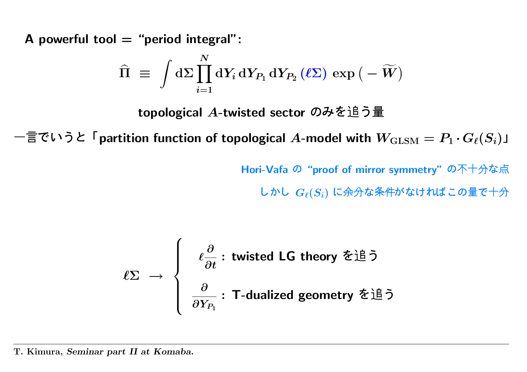A powerful tool  $=$  "period integral":

$$
\widehat{\Pi} \;\equiv\; \int \mathrm{d} \Sigma \prod_{i=1}^N \mathrm{d} Y_i \, \mathrm{d} Y_{P_1} \, \mathrm{d} Y_{P_2} \left(\ell \Sigma \right) \, \exp \big(- \widetilde{W} \big)
$$

topological A-twisted sector のみを追う量

言でいうと「partition function of topological  $A$ -model with  $W_{\text{GLSM}} = P_1 \cdot G_\ell(S_i)$ 」<br>Hori-Vafa の"proof of mirror symmetry" の不十分な点 $L \, \hbar \cup \, G_\ell(S_i)$ に余分な条件がなければこの量で十分

Hori-Vafa の"proof of mirror symmetry"の不十分な点

かし  $G_\ell(S_i)$  に余分な条件がなければこの量で十

$$
\ell \Sigma \rightarrow \left\{ \begin{array}{l} \ell \frac{\partial}{\partial t} : \text{ twisted LG theory } \hat{\Sigma} \dot{\Xi} \tilde{\supset} \\ \frac{\partial}{\partial Y_{P_1}} : \text{T-dualized geometry } \check{\Sigma} \dot{\Xi} \tilde{\supset} \\ \text{rt II at Komaba.} \end{array} \right.
$$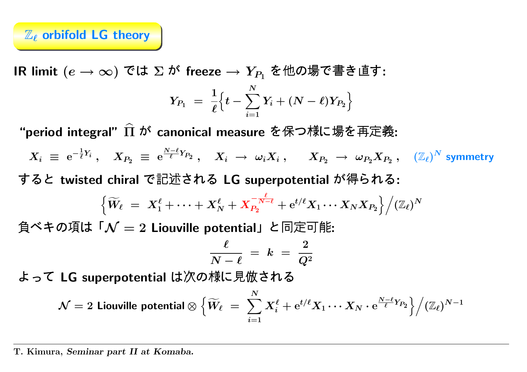## $\mathbb{Z}_{\ell}$  orbifold LG theory

IR limit  $(e\rightarrow\infty)$  では  $\Sigma$  が freeze  $\rightarrow Y_{P_{1}}$  を他の場で書き直す:

$$
Y_{P_1} \,\,=\,\, \frac{1}{\ell} \Big\{ t - \sum_{i=1}^N Y_i + (N - \ell) Y_{P_2} \Big\}
$$

"period integral"  $\widehat\Pi$ canonical measure を保つ様に場を再定義:

 $X_i~\equiv~{\rm e}^ \frac{1}{\ell} Y_i \ , \quad X_{P_2} \ \equiv \ \mathrm{e}^{\tfrac{N-\ell}{\ell} Y_{P_2}} \ , \quad X_i \ \rightarrow \ \omega_i X_i \ , \qquad X_{P_2} \ \rightarrow \ \omega_{P_2} X_{P_2} \ , \quad (\mathbb{Z}_\ell)^N \text{ symmetry}$ すると twisted chiral で記述される LG superpotential が得られる:

$$
\Big\{\widetilde W_\ell \ = \ X_1^\ell + \cdots + X_N^\ell + X_{P_2}^{-\frac{\ell}{N-\ell}} + \mathrm{e}^{t/\ell} X_1 \cdots X_N X_{P_2} \Big\}\Big/ (\mathbb{Z}_\ell)^N
$$

$$
\frac{\ell}{N-\ell} \;=\; k \;=\; \frac{2}{Q^2}
$$

って LG superpotential は次の様に見倣される

キの頃は「
$$
N = 2
$$
 Liouville potential」と同定可能:  
\n
$$
\frac{\ell}{N - \ell} = k = \frac{2}{Q^2}
$$
\n**IC** Superpotential は次の様に見倣される  
\n
$$
N = 2
$$
 Liouville potential 
$$
\bigg\{\widetilde{W}_{\ell} = \sum_{i=1}^{N} X_i^{\ell} + e^{t/\ell} X_1 \cdots X_N \cdot e^{\frac{N - \ell}{\ell} Y_{P_2}}\bigg\}\Big/(\mathbb{Z}_{\ell})^{N-1}
$$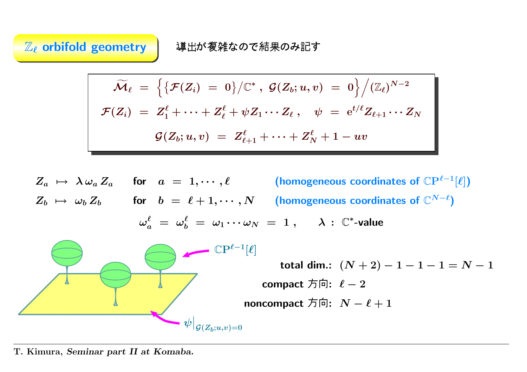$\mathbb{Z}_{\ell}$  orbifold geometry  $\qquad \qquad \mathbf{\ddot{A}}\mathbf{\ddot{B}}\mathbf{\ddot{B}}$ 

導出が複雑なので結果のみ記す

$$
\widetilde{\mathcal{M}}_\ell \ = \ \Big\{ \big\{ \mathcal{F}(Z_i) \ = \ 0 \big\} \big/ \mathbb{C}^* \ , \ \mathcal{G}(Z_b;u,v) \ = \ 0 \Big\} \Big/ (\mathbb{Z}_\ell)^{N-2} \notag \\ \mathcal{F}(Z_i) \ = \ Z_1^\ell + \cdots + Z_\ell^\ell + \psi Z_1 \cdots Z_\ell \ , \quad \psi \ = \ \mathrm{e}^{t/\ell} Z_{\ell+1} \cdots Z_N \notag \\ \mathcal{G}(Z_b;u,v) \ = \ Z_{\ell+1}^\ell + \cdots + Z_N^\ell + 1 - uv
$$

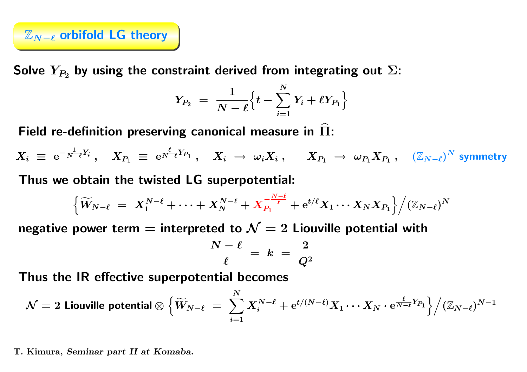

Solve  $Y_{P_2}$  by using the constraint derived from integrating out  $\Sigma$ :

$$
Y_{P_2} \;=\; \frac{1}{N-\ell} \Big\{ t - \sum_{i=1}^N Y_i + \ell Y_{P_1} \Big\}
$$

Field re-definition preserving canonical measure in  $\Pi$ : b

 $X_i~\equiv~\mathrm{e}^ \frac{1}{N-\ell}Y_i\;,\quad X_{P_1}\;\equiv\;{\rm e}$  $\frac{\ell}{N-\ell} Y_{P_1}\;,\quad X_i\;\rightarrow\;\omega_i X_i\;,\quad\;\; X_{P_1}\;\rightarrow\;\omega_{P_1} X_{P_1}\;,\quad \left(\mathbb{Z}_{N-\ell}\right)^N$  symmetry

Thus we obtain the twisted LG superpotential:

$$
\Big\{ \widetilde{W}_{N-\ell} \;=\; X_1^{N-\ell} + \cdots + X_N^{N-\ell} + X_{P_1}^{-\frac{N-\ell}{\ell}} + \mathrm{e}^{t/\ell} X_1 \cdots X_N X_{P_1} \Big\} \Big/ (\mathbb{Z}_{N-\ell})^N
$$

negative power term  $=$  interpreted to  $\mathcal{N}=2$  Liouville potential with

$$
\frac{N-\ell}{\ell} \;=\; k \;=\; \frac{2}{Q^2}
$$

Thus the IR effective superpotential becomes

$$
\mathcal{N}=2 \text{ Liouville potential}\otimes\Big\{\widetilde{W}_{N-\ell}\ =\ \sum_{i=1}^N X_i^{N-\ell}+\mathrm{e}^{t/(N-\ell)}X_1\cdots X_N\cdot \mathrm{e}^{\frac{\ell}{N-\ell}Y_{P_1}}\Big\}\Big/(\mathbb{Z}_{N-\ell})^{N-1}
$$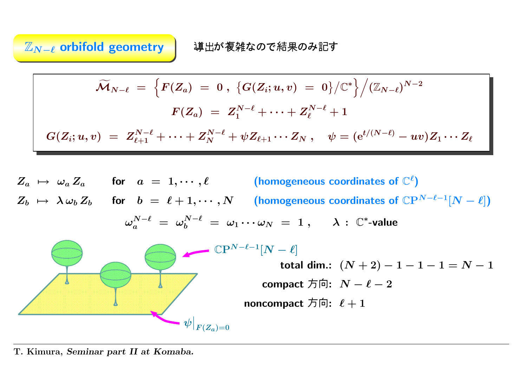$\mathbb{Z}_{\bm{N}-\bm{\ell}}$  orbifold geometry  $\,|\quad$  導出が複

導出が複雑なので結果のみ記す

$$
\widetilde{\mathcal{M}}_{N-\ell} \;=\; \Big\{F(Z_a) \;=\; 0 \;,\; \big\{G(Z_i;u,v) \;=\; 0\big\}/\mathbb{C}^*\Big\}\Big/(\mathbb{Z}_{N-\ell})^{N-2} \notag\\ F(Z_a) \;=\; Z_1^{N-\ell}+\cdots+Z_\ell^{N-\ell}+1 \notag\\ G(Z_i;u,v) \;=\; Z_{\ell+1}^{N-\ell}+\cdots+Z_N^{N-\ell}+\psi Z_{\ell+1}\cdots Z_N \;,\quad \psi=(\mathrm{e}^{t/(N-\ell)}-uv)Z_1\cdots Z_\ell
$$

 $Z_a \ \mapsto \ \omega_a \, Z_a \qquad \hbox{for} \quad a \ = \ 1, \cdots , \ell \qquad \qquad \textbf{(homogeneous coordinates of $\mathbb{C}^\ell$)}$  $Z_b$   $\mapsto \; \lambda \, \omega_b \, Z_b$  for  $b \; = \; \ell + 1, \cdots, N$  (homogeneous coordinates of  $\mathbb{C}{\rm P}^{N-\ell-1}[N-\ell])$  $\omega_a^{N-\ell}\ =\ \omega_b^{N-\ell}\ =\ \omega_1\cdots\omega_N\ =\ 1\ ,\qquad \lambda\,:\ {\mathbb C}^* \text{-value}$  $\mathbb{C}P^{N-\ell-1}[N-\ell]$  $\left. \psi\right|_{F(Z_a)=0}$ total dim.:  $(N+2)-1-1-1=N-1$ compact 方向:  $\;N-\ell-2\;$ noncompact 方向:  $\,\ell+1\,$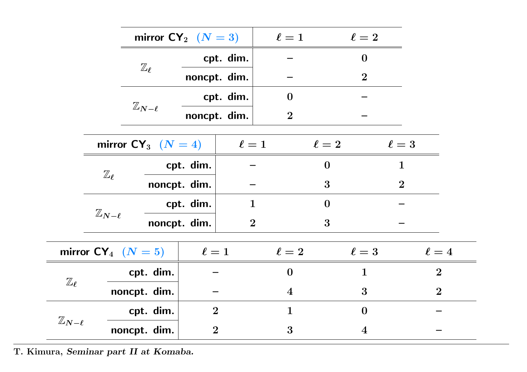|                         |                         | mirror $CY_2$ $(N = 3)$ |                |                |                         | $\ell = 1$ $\ell = 2$ |                  |                |                |
|-------------------------|-------------------------|-------------------------|----------------|----------------|-------------------------|-----------------------|------------------|----------------|----------------|
|                         |                         | $\mathbb{Z}_{\ell}$     |                | cpt. dim.      |                         |                       | $\mathbf{0}$     |                |                |
|                         |                         |                         | noncpt. dim.   |                |                         |                       | $\overline{2}$   |                |                |
|                         |                         |                         |                | cpt. dim.      | $\bf{0}$                |                       |                  |                |                |
|                         |                         | $\mathbb{Z}_{N-\ell}$   | noncpt. dim.   |                | $\boldsymbol{2}$        |                       |                  |                |                |
|                         | mirror $CY_3$ $(N = 4)$ |                         |                | $\ell=1$       |                         | $\ell=2$              |                  | $\ell=3$       |                |
|                         | $\mathbb{Z}_{\ell}$     |                         | cpt. dim.      |                |                         | $\boldsymbol{0}$      |                  | $\mathbf{1}$   |                |
|                         |                         | noncpt. dim.            |                |                |                         | 3                     |                  | $\overline{2}$ |                |
|                         |                         |                         | cpt. dim.      | $\mathbf{1}$   |                         | $\bf{0}$              |                  |                |                |
|                         | $\mathbb{Z}_{N-\ell}$   |                         | noncpt. dim.   | $\overline{2}$ |                         | 3                     |                  |                |                |
| mirror $CY_4$ $(N = 5)$ |                         | $\ell = 1$              |                | $\ell=2$       |                         | $\ell=3$              |                  | $\ell=4$       |                |
|                         |                         | cpt. dim.               |                |                | $\boldsymbol{0}$        |                       | $\mathbf{1}$     |                | $\overline{2}$ |
| $\mathbb{Z}_{\ell}$     |                         | noncpt. dim.            |                |                | $\overline{\mathbf{4}}$ |                       | $\overline{3}$   |                | $\overline{2}$ |
|                         | cpt. dim.               |                         | $\overline{2}$ |                | $\mathbf{1}$            |                       | $\boldsymbol{0}$ |                |                |
| $\mathbb{Z}_{N-\ell}$   |                         | noncpt. dim.            | $\overline{2}$ |                | 3                       |                       | $\boldsymbol{4}$ |                |                |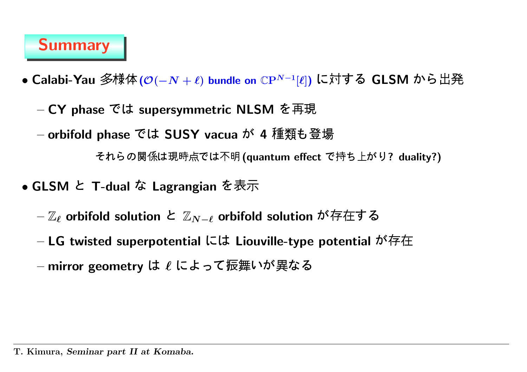## Summary

- Calabi-Yau 多様体 ( $\mathcal{O}(-N + \ell)$  bundle on  $\mathbb{C}\mathrm{P}^{N-1}[\ell]$ ) に対する GLSM から出
	- $-$  CY phase では supersymmetric NLSM を再現
	- orbifold phase では SUSY vacua が 4 種類も登

それらの関係は現時点では不明 (quantum effect で持ち上がり? duality?)

- <code>GLSM と T-dual</code> な Lagrangian を表
	- $-\mathbb{Z}_{\ell}$  orbifold solution と  $\mathbb{Z}_{N-\ell}$  orbifold solution が存在す
	- $-$  LG twisted superpotential には Liouville-type potential が存
	- $-$  mirror geometry は  $\ell$  によって振舞いが異な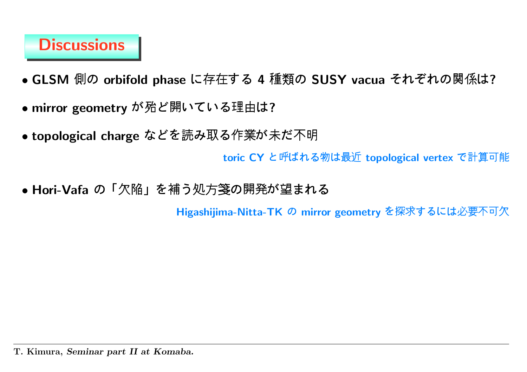## Discussions

- GLSM の orbifold phase に存在する 4 種類の SUSY vacua それぞれの関係は?
- mirror geometry が殆ど開いている理由は?
- topological charge などを読み取る作業が未だ不

 $\mathsf{toric}\;\mathsf{CY}\;$ と呼ばれる物は最近  $\mathsf{topological}\; \mathsf{vertex}\;$ で計算可能

• Hori-Vafa の「欠陥」を補う処方箋の開発が望まれ

Higashijima-Nitta-TK の mirror geometry を探求するには必要不可欠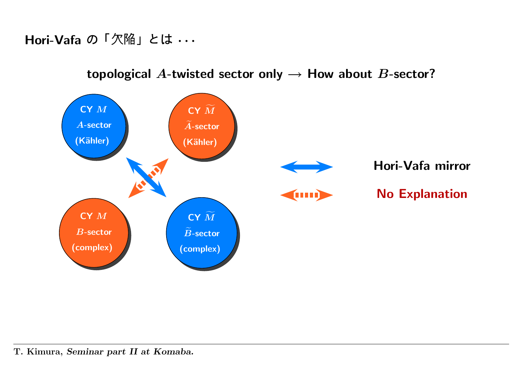#### Hori-Vafa の「欠陥」とは · · ·



topological A-twisted sector only  $\rightarrow$  How about B-sector?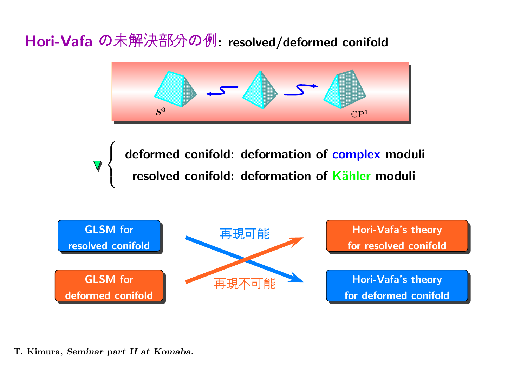Hori-Vafa の未解決部分の例: resolved/deformed conifold



deformed conifold: deformation of complex moduli<br>resolved conifold: deformation of Kähler moduli